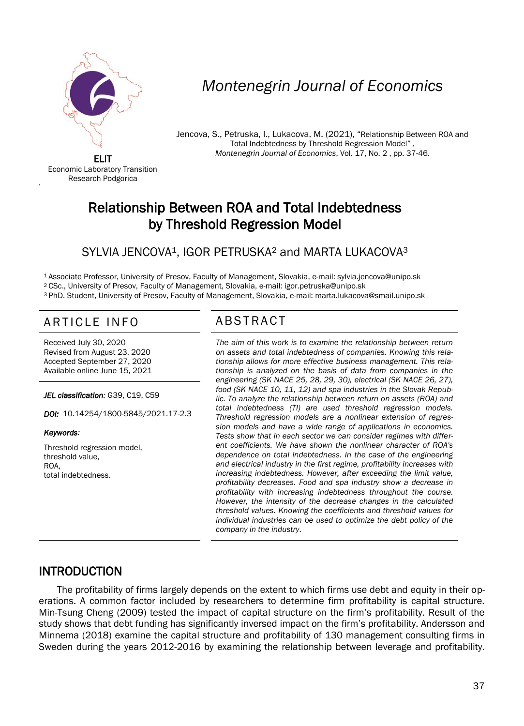

# *Montenegrin Journal of Economics*

Jencova, S., Petruska, I., Lukacova, M. (2021), "Relationship Between ROA and Total Indebtedness by Threshold Regression Model" , *Montenegrin Journal of Economics*, Vol. 17, No. 2 , pp. 37-46.

ELIT Economic Laboratory Transition Research Podgorica

'

## Relationship Between ROA and Total Indebtedness by Threshold Regression Model

## SYLVIA JENCOVA<sup>1</sup>, IGOR PETRUSKA<sup>2</sup> and MARTA LUKACOVA<sup>3</sup>

<sup>1</sup>Associate Professor, University of Presov, Faculty of Management, Slovakia, e-mail: sylvia.jencova@unipo.sk <sup>2</sup>CSc., University of Presov, Faculty of Management, Slovakia, e-mail: igor.petruska@unipo.sk <sup>3</sup>PhD. Student, University of Presov, Faculty of Management, Slovakia, e-mail: marta.lukacova@smail.unipo.sk

## ARTICLE INFO ABSTRACT

Received July 30, 2020 Revised from August 23, 2020 Accepted September 27, 2020 Available online June 15, 2021

*JEL classification:* G39, C19, C59

*DOI:* 10.14254/1800-5845/2021.17-2.3

#### *Keywords:*

Threshold regression model, threshold value, ROA, total indebtedness.

 *The aim of this work is to examine the relationship between return on assets and total indebtedness of companies. Knowing this relationship allows for more effective business management. This relationship is analyzed on the basis of data from companies in the engineering (SK NACE 25, 28, 29, 30), electrical (SK NACE 26, 27), food (SK NACE 10, 11, 12) and spa industries in the Slovak Republic. To analyze the relationship between return on assets (ROA) and total indebtedness (TI) are used threshold regression models. Threshold regression models are a nonlinear extension of regression models and have a wide range of applications in economics. Tests show that in each sector we can consider regimes with different coefficients. We have shown the nonlinear character of ROA's dependence on total indebtedness. In the case of the engineering and electrical industry in the first regime, profitability increases with increasing indebtedness. However, after exceeding the limit value, profitability decreases. Food and spa industry show a decrease in profitability with increasing indebtedness throughout the course. However, the intensity of the decrease changes in the calculated threshold values. Knowing the coefficients and threshold values for individual industries can be used to optimize the debt policy of the company in the industry*.

## INTRODUCTION

The profitability of firms largely depends on the extent to which firms use debt and equity in their operations. A common factor included by researchers to determine firm profitability is capital structure. Min-Tsung Cheng (2009) tested the impact of capital structure on the firm's profitability. Result of the study shows that debt funding has significantly inversed impact on the firm's profitability. Andersson and Minnema (2018) examine the capital structure and profitability of 130 management consulting firms in Sweden during the years 2012-2016 by examining the relationship between leverage and profitability.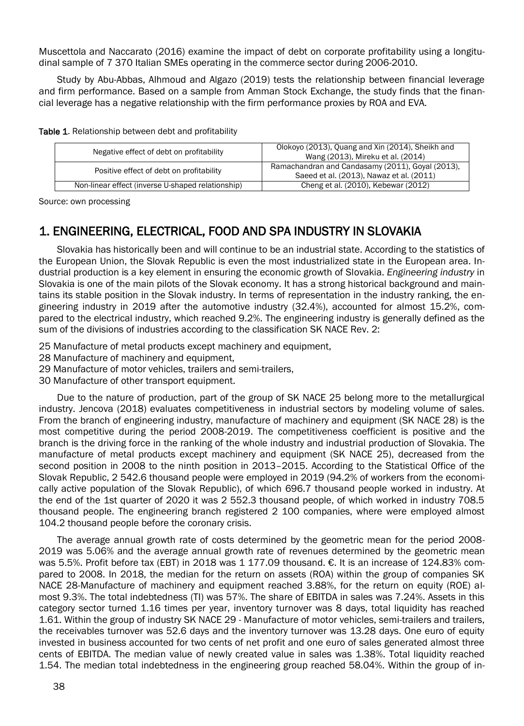Muscettola and Naccarato (2016) examine the impact of debt on corporate profitability using a longitudinal sample of 7 370 Italian SMEs operating in the commerce sector during 2006-2010.

Study by Abu-Abbas, Alhmoud and Algazo (2019) tests the relationship between financial leverage and firm performance. Based on a sample from Amman Stock Exchange, the study finds that the financial leverage has a negative relationship with the firm performance proxies by ROA and EVA.

| Negative effect of debt on profitability          | Olokoyo (2013), Quang and Xin (2014), Sheikh and<br>Wang (2013), Mireku et al. (2014)        |  |  |
|---------------------------------------------------|----------------------------------------------------------------------------------------------|--|--|
| Positive effect of debt on profitability          | Ramachandran and Candasamy (2011), Goyal (2013),<br>Saeed et al. (2013), Nawaz et al. (2011) |  |  |
| Non-linear effect (inverse U-shaped relationship) | Cheng et al. (2010), Kebewar (2012)                                                          |  |  |

Table 1. Relationship between debt and profitability

Source: own processing

## 1. ENGINEERING, ELECTRICAL, FOOD AND SPA INDUSTRY IN SLOVAKIA

Slovakia has historically been and will continue to be an industrial state. According to the statistics of the European Union, the Slovak Republic is even the most industrialized state in the European area. Industrial production is a key element in ensuring the economic growth of Slovakia. *Engineering industry* in Slovakia is one of the main pilots of the Slovak economy. It has a strong historical background and maintains its stable position in the Slovak industry. In terms of representation in the industry ranking, the engineering industry in 2019 after the automotive industry (32.4%), accounted for almost 15.2%, compared to the electrical industry, which reached 9.2%. The engineering industry is generally defined as the sum of the divisions of industries according to the classification SK NACE Rev. 2:

25 Manufacture of metal products except machinery and equipment,

- 28 Manufacture of machinery and equipment.
- 29 Manufacture of motor vehicles, trailers and semi-trailers,
- 30 Manufacture of other transport equipment.

Due to the nature of production, part of the group of SK NACE 25 belong more to the metallurgical industry. Jencova (2018) evaluates competitiveness in industrial sectors by modeling volume of sales. From the branch of engineering industry, manufacture of machinery and equipment (SK NACE 28) is the most competitive during the period 2008-2019. The competitiveness coefficient is positive and the branch is the driving force in the ranking of the whole industry and industrial production of Slovakia. The manufacture of metal products except machinery and equipment (SK NACE 25), decreased from the second position in 2008 to the ninth position in 2013–2015. According to the Statistical Office of the Slovak Republic, 2 542.6 thousand people were employed in 2019 (94.2% of workers from the economically active population of the Slovak Republic), of which 696.7 thousand people worked in industry. At the end of the 1st quarter of 2020 it was 2 552.3 thousand people, of which worked in industry 708.5 thousand people. The engineering branch registered 2 100 companies, where were employed almost 104.2 thousand people before the coronary crisis.

The average annual growth rate of costs determined by the geometric mean for the period 2008- 2019 was 5.06% and the average annual growth rate of revenues determined by the geometric mean was 5.5%. Profit before tax (EBT) in 2018 was 1 177.09 thousand. €. It is an increase of 124.83% compared to 2008. In 2018, the median for the return on assets (ROA) within the group of companies SK NACE 28-Manufacture of machinery and equipment reached 3.88%, for the return on equity (ROE) almost 9.3%. The total indebtedness (TI) was 57%. The share of EBITDA in sales was 7.24%. Assets in this category sector turned 1.16 times per year, inventory turnover was 8 days, total liquidity has reached 1.61. Within the group of industry SK NACE 29 - Manufacture of motor vehicles, semi-trailers and trailers, the receivables turnover was 52.6 days and the inventory turnover was 13.28 days. One euro of equity invested in business accounted for two cents of net profit and one euro of sales generated almost three cents of EBITDA. The median value of newly created value in sales was 1.38%. Total liquidity reached 1.54. The median total indebtedness in the engineering group reached 58.04%. Within the group of in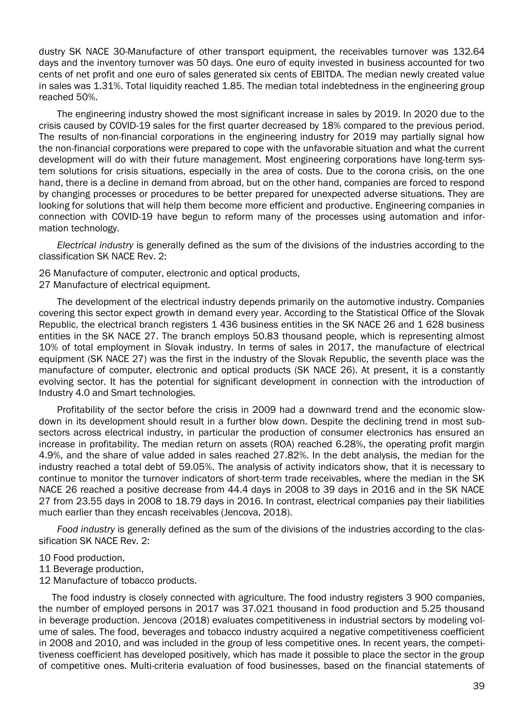dustry SK NACE 30-Manufacture of other transport equipment, the receivables turnover was 132.64 days and the inventory turnover was 50 days. One euro of equity invested in business accounted for two cents of net profit and one euro of sales generated six cents of EBITDA. The median newly created value in sales was 1.31%. Total liquidity reached 1.85. The median total indebtedness in the engineering group reached 50%.

The engineering industry showed the most significant increase in sales by 2019. In 2020 due to the crisis caused by COVID-19 sales for the first quarter decreased by 18% compared to the previous period. The results of non-financial corporations in the engineering industry for 2019 may partially signal how the non-financial corporations were prepared to cope with the unfavorable situation and what the current development will do with their future management. Most engineering corporations have long-term system solutions for crisis situations, especially in the area of costs. Due to the corona crisis, on the one hand, there is a decline in demand from abroad, but on the other hand, companies are forced to respond by changing processes or procedures to be better prepared for unexpected adverse situations. They are looking for solutions that will help them become more efficient and productive. Engineering companies in connection with COVID-19 have begun to reform many of the processes using automation and information technology.

*Electrical industry* is generally defined as the sum of the divisions of the industries according to the classification SK NACE Rev. 2:

26 Manufacture of computer, electronic and optical products,

27 Manufacture of electrical equipment.

The development of the electrical industry depends primarily on the automotive industry. Companies covering this sector expect growth in demand every year. According to the Statistical Office of the Slovak Republic, the electrical branch registers 1 436 business entities in the SK NACE 26 and 1 628 business entities in the SK NACE 27. The branch employs 50.83 thousand people, which is representing almost 10% of total employment in Slovak industry. In terms of sales in 2017, the manufacture of electrical equipment (SK NACE 27) was the first in the industry of the Slovak Republic, the seventh place was the manufacture of computer, electronic and optical products (SK NACE 26). At present, it is a constantly evolving sector. It has the potential for significant development in connection with the introduction of Industry 4.0 and Smart technologies.

Profitability of the sector before the crisis in 2009 had a downward trend and the economic slowdown in its development should result in a further blow down. Despite the declining trend in most subsectors across electrical industry, in particular the production of consumer electronics has ensured an increase in profitability. The median return on assets (ROA) reached 6.28%, the operating profit margin 4.9%, and the share of value added in sales reached 27.82%. In the debt analysis, the median for the industry reached a total debt of 59.05%. The analysis of activity indicators show, that it is necessary to continue to monitor the turnover indicators of short-term trade receivables, where the median in the SK NACE 26 reached a positive decrease from 44.4 days in 2008 to 39 days in 2016 and in the SK NACE 27 from 23.55 days in 2008 to 18.79 days in 2016. In contrast, electrical companies pay their liabilities much earlier than they encash receivables (Jencova, 2018).

*Food industry* is generally defined as the sum of the divisions of the industries according to the classification SK NACE Rev. 2:

- 10 Food production,
- 11 Beverage production,
- 12 Manufacture of tobacco products.

The food industry is closely connected with agriculture. The food industry registers 3 900 companies, the number of employed persons in 2017 was 37.021 thousand in food production and 5.25 thousand in beverage production. Jencova (2018) evaluates competitiveness in industrial sectors by modeling volume of sales. The food, beverages and tobacco industry acquired a negative competitiveness coefficient in 2008 and 2010, and was included in the group of less competitive ones. In recent years, the competitiveness coefficient has developed positively, which has made it possible to place the sector in the group of competitive ones. Multi-criteria evaluation of food businesses, based on the financial statements of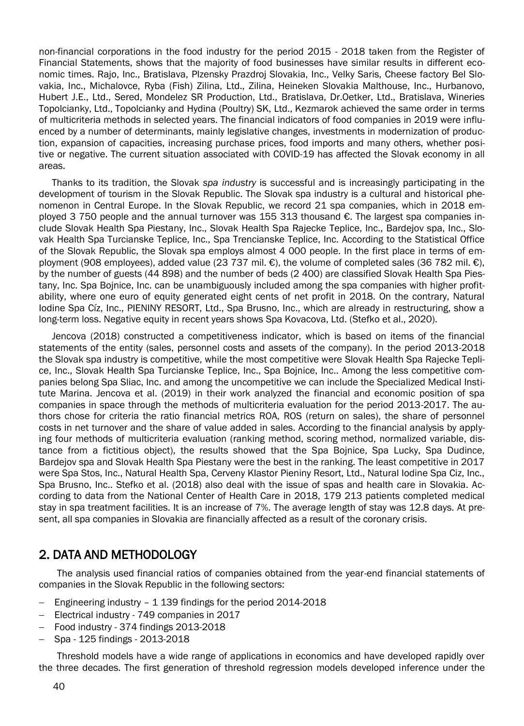non-financial corporations in the food industry for the period 2015 - 2018 taken from the Register of Financial Statements, shows that the majority of food businesses have similar results in different economic times. Rajo, Inc., Bratislava, Plzensky Prazdroj Slovakia, Inc., Velky Saris, Cheese factory Bel Slovakia, Inc., Michalovce, Ryba (Fish) Zilina, Ltd., Zilina, Heineken Slovakia Malthouse, Inc., Hurbanovo, Hubert J.E., Ltd., Sered, Mondelez SR Production, Ltd., Bratislava, Dr.Oetker, Ltd., Bratislava, Wineries Topolcianky, Ltd., Topolcianky and Hydina (Poultry) SK, Ltd., Kezmarok achieved the same order in terms of multicriteria methods in selected years. The financial indicators of food companies in 2019 were influenced by a number of determinants, mainly legislative changes, investments in modernization of production, expansion of capacities, increasing purchase prices, food imports and many others, whether positive or negative. The current situation associated with COVID-19 has affected the Slovak economy in all areas.

Thanks to its tradition, the Slovak *spa industry* is successful and is increasingly participating in the development of tourism in the Slovak Republic. The Slovak spa industry is a cultural and historical phenomenon in Central Europe. In the Slovak Republic, we record 21 spa companies, which in 2018 employed 3 750 people and the annual turnover was 155 313 thousand €. The largest spa companies include Slovak Health Spa Piestany, Inc., Slovak Health Spa Rajecke Teplice, Inc., Bardejov spa, Inc., Slovak Health Spa Turcianske Teplice, Inc., Spa Trencianske Teplice, Inc. According to the Statistical Office of the Slovak Republic, the Slovak spa employs almost 4 000 people. In the first place in terms of employment (908 employees), added value (23 737 mil. €), the volume of completed sales (36 782 mil. €), by the number of guests (44 898) and the number of beds (2 400) are classified Slovak Health Spa Piestany, Inc. Spa Bojnice, Inc. can be unambiguously included among the spa companies with higher profitability, where one euro of equity generated eight cents of net profit in 2018. On the contrary, Natural Iodine Spa Cíz, Inc., PIENINY RESORT, Ltd., Spa Brusno, Inc., which are already in restructuring, show a long-term loss. Negative equity in recent years shows Spa Kovacova, Ltd. (Stefko et al., 2020).

Jencova (2018) constructed a competitiveness indicator, which is based on items of the financial statements of the entity (sales, personnel costs and assets of the company). In the period 2013-2018 the Slovak spa industry is competitive, while the most competitive were Slovak Health Spa Rajecke Teplice, Inc., Slovak Health Spa Turcianske Teplice, Inc., Spa Bojnice, Inc.. Among the less competitive companies belong Spa Sliac, Inc. and among the uncompetitive we can include the Specialized Medical Institute Marina. Jencova et al. (2019) in their work analyzed the financial and economic position of spa companies in space through the methods of multicriteria evaluation for the period 2013-2017. The authors chose for criteria the ratio financial metrics ROA, ROS (return on sales), the share of personnel costs in net turnover and the share of value added in sales. According to the financial analysis by applying four methods of multicriteria evaluation (ranking method, scoring method, normalized variable, distance from a fictitious object), the results showed that the Spa Bojnice, Spa Lucky, Spa Dudince, Bardejov spa and Slovak Health Spa Piestany were the best in the ranking. The least competitive in 2017 were Spa Stos, Inc., Natural Health Spa, Cerveny Klastor Pieniny Resort, Ltd., Natural Iodine Spa Ciz, Inc., Spa Brusno, Inc.. Stefko et al. (2018) also deal with the issue of spas and health care in Slovakia. According to data from the National Center of Health Care in 2018, 179 213 patients completed medical stay in spa treatment facilities. It is an increase of 7%. The average length of stay was 12.8 days. At present, all spa companies in Slovakia are financially affected as a result of the coronary crisis.

## 2. DATA AND METHODOLOGY

The analysis used financial ratios of companies obtained from the year-end financial statements of companies in the Slovak Republic in the following sectors:

- Engineering industry 1 139 findings for the period 2014-2018
- Electrical industry 749 companies in 2017
- Food industry 374 findings 2013-2018
- Spa 125 findings 2013-2018

Threshold models have a wide range of applications in economics and have developed rapidly over the three decades. The first generation of threshold regression models developed inference under the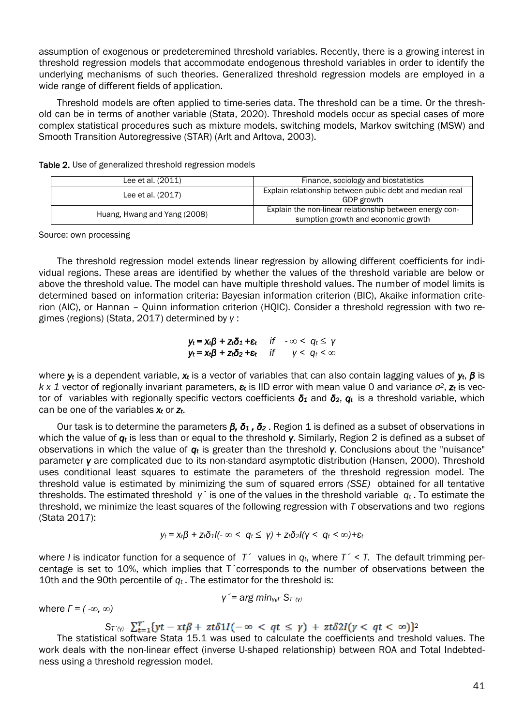assumption of exogenous or predeteremined threshold variables. Recently, there is a growing interest in threshold regression models that accommodate endogenous threshold variables in order to identify the underlying mechanisms of such theories. Generalized threshold regression models are employed in a wide range of different fields of application.

Threshold models are often applied to time-series data. The threshold can be a time. Or the threshold can be in terms of another variable (Stata, 2020). Threshold models occur as special cases of more complex statistical procedures such as mixture models, switching models, Markov switching (MSW) and Smooth Transition Autoregressive (STAR) (Arlt and Arltova, 2003).

| Lee et al. (2011)            | Finance, sociology and biostatistics                                                           |  |  |
|------------------------------|------------------------------------------------------------------------------------------------|--|--|
| Lee et al. (2017)            | Explain relationship between public debt and median real<br>GDP growth                         |  |  |
| Huang, Hwang and Yang (2008) | Explain the non-linear relationship between energy con-<br>sumption growth and economic growth |  |  |

Table 2. Use of generalized threshold regression models

Source: own processing

The threshold regression model extends linear regression by allowing different coefficients for individual regions. These areas are identified by whether the values of the threshold variable are below or above the threshold value. The model can have multiple threshold values. The number of model limits is determined based on information criteria: Bayesian information criterion (BIC), Akaike information criterion (AIC), or Hannan – Quinn information criterion (HQIC). Consider a threshold regression with two regimes (regions) (Stata, 2017) determined by *γ* :

#### *yt = xtβ + ztδ1 +εt if - ∞ < q<sup>t</sup> ≤ γ yt = xtβ + ztδ2 +εt if γ < q<sup>t</sup> < ∞*

where *y<sup>t</sup>* is a dependent variable, *x<sup>t</sup>* is a vector of variables that can also contain lagging values of *yt*, *β* is *k x 1* vector of regionally invariant parameters, *ε<sup>t</sup>* is IID error with mean value 0 and variance *σ2*, *z<sup>t</sup>* is vector of variables with regionally specific vectors coefficients *δ<sup>1</sup>* and *δ2*, *qt* is a threshold variable, which can be one of the variables *x<sup>t</sup>* or *zt*.

Our task is to determine the parameters *β, δ<sup>1</sup> , δ<sup>2</sup>* . Region 1 is defined as a subset of observations in which the value of *q<sup>t</sup>* is less than or equal to the threshold *γ*. Similarly, Region 2 is defined as a subset of observations in which the value of *q<sup>t</sup>* is greater than the threshold *γ*. Conclusions about the "nuisance" parameter *γ* are complicated due to its non-standard asymptotic distribution (Hansen, 2000). Threshold uses conditional least squares to estimate the parameters of the threshold regression model. The threshold value is estimated by minimizing the sum of squared errors *(SSE)* obtained for all tentative thresholds. The estimated threshold *γ*´ is one of the values in the threshold variable *q<sup>t</sup>* . To estimate the threshold, we minimize the least squares of the following regression with *T* observations and two regions (Stata 2017):

$$
y_t = x_t \beta + z_t \delta_1 I(-\infty < q_t \leq \gamma) + z_t \delta_2 I(\gamma < q_t < \infty) + \varepsilon_t
$$

where *I* is indicator function for a sequence of  $T^{\prime}$  values in  $q_t$ , where  $T^{\prime} < T$ . The default trimming percentage is set to 10%, which implies that T´corresponds to the number of observations between the 10th and the 90th percentile of *q<sup>t</sup> .* The estimator for the threshold is:

$$
\gamma = \arg min_{\gamma \in \Gamma} S_{T^{\gamma}(\gamma)}
$$

where *Г = ( -∞, ∞)*

$$
S_{T(\gamma)} = \sum_{t=1}^{T'} \{ yt - xt\beta + z\tau\delta 1I(-\infty < qt \leq \gamma) + z\tau\delta 2I(\gamma < qt < \infty) \}^2
$$

The statistical software Stata 15.1 was used to calculate the coefficients and treshold values. The work deals with the non-linear effect (inverse U-shaped relationship) between ROA and Total Indebtedness using a threshold regression model.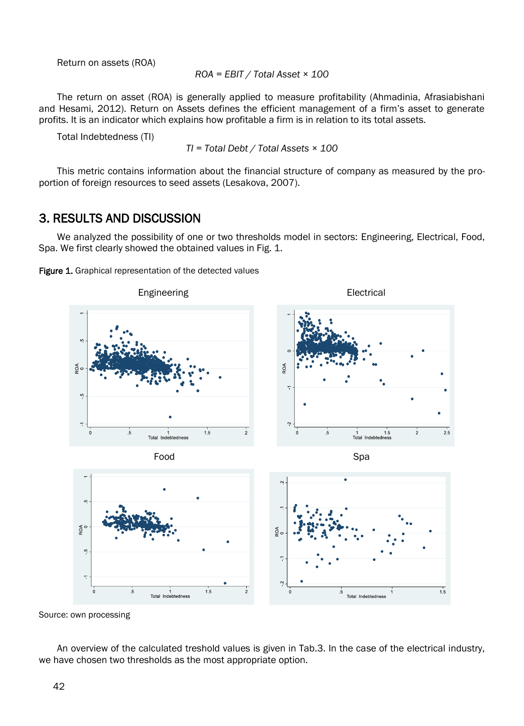Return on assets (ROA)

*ROA = EBIT / Total Asset × 100*

The return on asset (ROA) is generally applied to measure profitability (Ahmadinia, Afrasiabishani and Hesami, 2012). Return on Assets defines the efficient management of a firm's asset to generate profits. It is an indicator which explains how profitable a firm is in relation to its total assets.

Total Indebtedness (TI)

*TI = Total Debt / Total Assets × 100*

This metric contains information about the financial structure of company as measured by the proportion of foreign resources to seed assets (Lesakova, 2007).

## 3. RESULTS AND DISCUSSION

We analyzed the possibility of one or two thresholds model in sectors: Engineering, Electrical, Food, Spa. We first clearly showed the obtained values in Fig. 1.

Figure 1. Graphical representation of the detected values



Source: own processing

An overview of the calculated treshold values is given in Tab.3. In the case of the electrical industry, we have chosen two thresholds as the most appropriate option.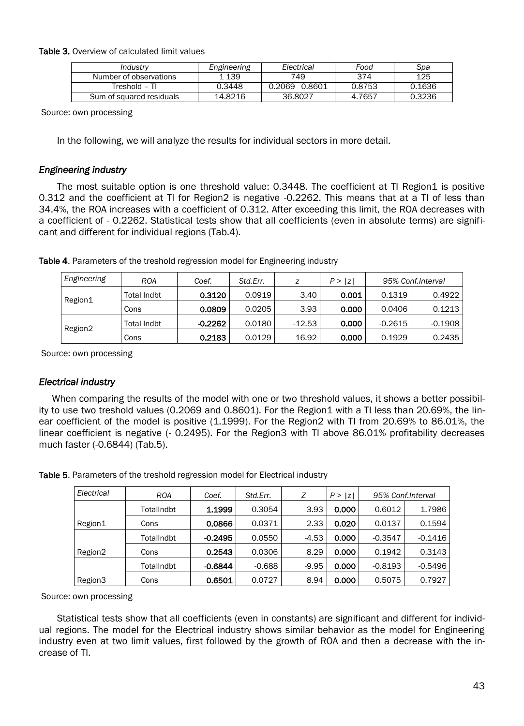Table 3. Overview of calculated limit values

| Industry                 | Engineering | Electrical    | Food   | Spa    |
|--------------------------|-------------|---------------|--------|--------|
| Number of observations   | 1 139       | 749           | 374    | 125    |
| Treshold - TI            | 0.3448      | 0.2069 0.8601 | 0.8753 | 0.1636 |
| Sum of squared residuals | 14.8216     | 36.8027       | 4.7657 | 0.3236 |

Source: own processing

In the following, we will analyze the results for individual sectors in more detail.

#### *Engineering industry*

The most suitable option is one threshold value: 0.3448. The coefficient at TI Region1 is positive 0.312 and the coefficient at TI for Region2 is negative -0.2262. This means that at a TI of less than 34.4%, the ROA increases with a coefficient of 0.312. After exceeding this limit, the ROA decreases with a coefficient of - 0.2262. Statistical tests show that all coefficients (even in absolute terms) are significant and different for individual regions (Tab.4).

| Engineering | <b>ROA</b>  | Coef.     | Std.Err. |          | P >  z |           | 95% Conf.Interval |
|-------------|-------------|-----------|----------|----------|--------|-----------|-------------------|
| Region1     | Total Indbt | 0.3120    | 0.0919   | 3.40     | 0.001  | 0.1319    | 0.4922            |
|             | Cons        | 0.0809    | 0.0205   | 3.93     | 0.000  | 0.0406    | 0.1213            |
| Region2     | Total Indbt | $-0.2262$ | 0.0180   | $-12.53$ | 0.000  | $-0.2615$ | $-0.1908$         |
|             | Cons        | 0.2183    | 0.0129   | 16.92    | 0.000  | 0.1929    | 0.2435            |

Table 4. Parameters of the treshold regression model for Engineering industry

Source: own processing

#### *Electrical industry*

When comparing the results of the model with one or two threshold values, it shows a better possibility to use two treshold values (0.2069 and 0.8601). For the Region1 with a TI less than 20.69%, the linear coefficient of the model is positive (1.1999). For the Region2 with TI from 20.69% to 86.01%, the linear coefficient is negative (- 0.2495). For the Region3 with TI above 86.01% profitability decreases much faster (-0.6844) (Tab.5).

| Electrical | <b>ROA</b> | Coef.     | Std.Err. | Ζ       | P ><br> z |           | 95% Conf. Interval |
|------------|------------|-----------|----------|---------|-----------|-----------|--------------------|
|            | TotalIndbt | 1.1999    | 0.3054   | 3.93    | 0.000     | 0.6012    | 1.7986             |
| Region1    | Cons       | 0.0866    | 0.0371   | 2.33    | 0.020     | 0.0137    | 0.1594             |
|            | TotalIndbt | $-0.2495$ | 0.0550   | $-4.53$ | 0.000     | $-0.3547$ | $-0.1416$          |
| Region2    | Cons       | 0.2543    | 0.0306   | 8.29    | 0.000     | 0.1942    | 0.3143             |
|            | TotalIndbt | $-0.6844$ | $-0.688$ | $-9.95$ | 0.000     | $-0.8193$ | $-0.5496$          |
| Region3    | Cons       | 0.6501    | 0.0727   | 8.94    | 0.000     | 0.5075    | 0.7927             |

Table 5. Parameters of the treshold regression model for Electrical industry

Source: own processing

Statistical tests show that all coefficients (even in constants) are significant and different for individual regions. The model for the Electrical industry shows similar behavior as the model for Engineering industry even at two limit values, first followed by the growth of ROA and then a decrease with the increase of TI.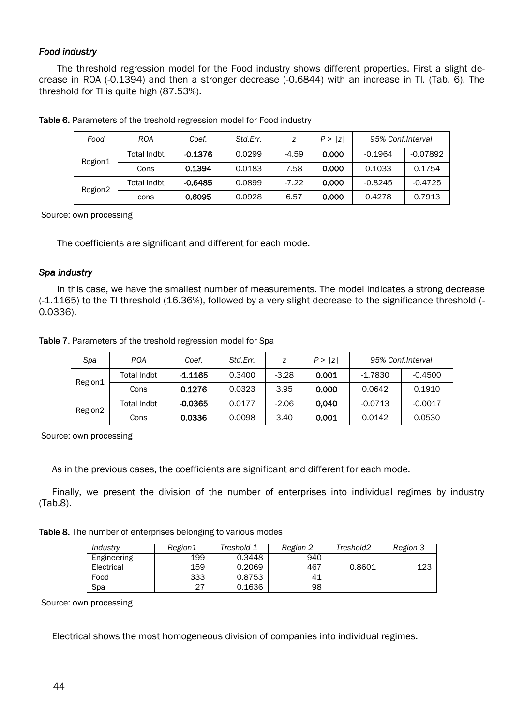### *Food industry*

The threshold regression model for the Food industry shows different properties. First a slight decrease in ROA (-0.1394) and then a stronger decrease (-0.6844) with an increase in TI. (Tab. 6). The threshold for TI is quite high (87.53%).

| Food    | <b>ROA</b>  | Coef.     | Std.Err. |         | P >  z | 95% Conf.Interval |            |
|---------|-------------|-----------|----------|---------|--------|-------------------|------------|
| Region1 | Total Indbt | $-0.1376$ | 0.0299   | $-4.59$ | 0.000  | $-0.1964$         | $-0.07892$ |
|         | Cons        | 0.1394    | 0.0183   | 7.58    | 0.000  | 0.1033            | 0.1754     |
| Region2 | Total Indbt | $-0.6485$ | 0.0899   | $-7.22$ | 0.000  | $-0.8245$         | $-0.4725$  |
|         | cons        | 0.6095    | 0.0928   | 6.57    | 0.000  | 0.4278            | 0.7913     |

Table 6. Parameters of the treshold regression model for Food industry

Source: own processing

The coefficients are significant and different for each mode.

#### *Spa industry*

In this case, we have the smallest number of measurements. The model indicates a strong decrease (-1.1165) to the TI threshold (16.36%), followed by a very slight decrease to the significance threshold (- 0.0336).

Table 7. Parameters of the treshold regression model for Spa

| Spa     | ROA         | Coef.     | Std.Err. | z       | P >  z | 95% Conf.Interval |           |
|---------|-------------|-----------|----------|---------|--------|-------------------|-----------|
| Region1 | Total Indbt | -1.1165   | 0.3400   | $-3.28$ | 0.001  | $-1.7830$         | $-0.4500$ |
|         | Cons        | 0.1276    | 0.0323   | 3.95    | 0.000  | 0.0642            | 0.1910    |
| Region2 | Total Indbt | $-0.0365$ | 0.0177   | $-2.06$ | 0.040  | $-0.0713$         | $-0.0017$ |
|         | Cons        | 0.0336    | 0.0098   | 3.40    | 0.001  | 0.0142            | 0.0530    |

Source: own processing

As in the previous cases, the coefficients are significant and different for each mode.

Finally, we present the division of the number of enterprises into individual regimes by industry (Tab.8).

Table 8. The number of enterprises belonging to various modes

| Industry    | Region1 | Treshold 1 | Region 2 | Treshold2 | Region 3 |
|-------------|---------|------------|----------|-----------|----------|
| Engineering | 199     | 0.3448     | 940      |           |          |
| Electrical  | 159     | 0.2069     | 467      | 0.8601    | 123      |
| Food        | 333     | 0.8753     | 41       |           |          |
| Spa         | 27      | 0.1636     | 98       |           |          |

Source: own processing

Electrical shows the most homogeneous division of companies into individual regimes.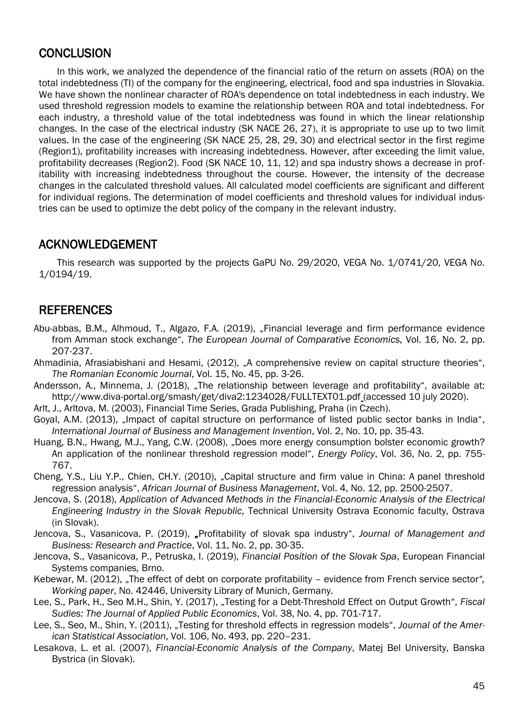## **CONCLUSION**

In this work, we analyzed the dependence of the financial ratio of the return on assets (ROA) on the total indebtedness (TI) of the company for the engineering, electrical, food and spa industries in Slovakia. We have shown the nonlinear character of ROA's dependence on total indebtedness in each industry. We used threshold regression models to examine the relationship between ROA and total indebtedness. For each industry, a threshold value of the total indebtedness was found in which the linear relationship changes. In the case of the electrical industry (SK NACE 26, 27), it is appropriate to use up to two limit values. In the case of the engineering (SK NACE 25, 28, 29, 30) and electrical sector in the first regime (Region1), profitability increases with increasing indebtedness. However, after exceeding the limit value, profitability decreases (Region2). Food (SK NACE 10, 11, 12) and spa industry shows a decrease in profitability with increasing indebtedness throughout the course. However, the intensity of the decrease changes in the calculated threshold values. All calculated model coefficients are significant and different for individual regions. The determination of model coefficients and threshold values for individual industries can be used to optimize the debt policy of the company in the relevant industry.

## ACKNOWLEDGEMENT

This research was supported by the projects GaPU No. 29/2020, VEGA No. 1/0741/20, VEGA No. 1/0194/19.

## REFERENCES

- Abu-abbas, B.M., Alhmoud, T., Algazo, F.A. (2019), "Financial leverage and firm performance evidence from Amman stock exchange", *The European Journal of Comparative Economics,* Vol. 16, No. 2, pp. 207-237.
- Ahmadinia, Afrasiabishani and Hesami, (2012), "A comprehensive review on capital structure theories", *The Romanian Economic Journal*, Vol. 15, No. 45, pp. 3-26.
- Andersson, A., Minnema, J. (2018), "The relationship between leverage and profitability", available at: http://www.diva-portal.org/smash/get/diva2:1234028/FULLTEXT01.pdf (accessed 10 july 2020).
- Arlt, J., Arltova, M. (2003), Financial Time Series, Grada Publishing, Praha (in Czech).
- Goyal, A.M. (2013), "Impact of capital structure on performance of listed public sector banks in India", *International Journal of Business and Management Invention*, Vol. 2, No. 10, pp. 35-43.
- Huang, B.N., Hwang, M.J., Yang, C.W. (2008), "Does more energy consumption bolster economic growth? An application of the nonlinear threshold regression model", *Energy Policy*, Vol. 36, No. 2, pp. 755- 767.
- Cheng, Y.S., Liu Y.P., Chien, CH.Y. (2010), "Capital structure and firm value in China: A panel threshold regression analysis", *African Journal of Business Management*, Vol. 4, No. 12, pp. 2500-2507.
- Jencova, S. (2018), *Application of Advanced Methods in the Financial-Economic Analysis of the Electrical Engineering Industry in the Slovak Republic,* Technical University Ostrava Economic faculty, Ostrava (in Slovak).
- Jencova, S., Vasanicova, P. (2019), "Profitability of slovak spa industry", *Journal of Management and [Business: Research and Practice](http://www.journalmb.eu/)*, Vol. 11, No. 2, pp. 30-35.
- Jencova, S., Vasanicova, P., Petruska, I. (2019), *Financial Position of the Slovak Spa*, European Financial Systems companies*,* Brno.
- Kebewar, M. (2012), "The effect of debt on corporate profitability evidence from French service sector*", Working paper*, No. 42446, University Library of Munich, Germany*.*
- Lee, S., Park, H., Seo M.H., Shin, Y. (2017), "Testing for a Debt-Threshold Effect on Output Growth", *Fiscal Sudies: The Journal of Applied Public Economics*, Vol. 38, No. 4, pp. 701-717.
- Lee, S., Seo, M., Shin, Y. (2011), "Testing for threshold effects in regression models", *Journal of the American Statistical Association*, Vol. 106, No. 493, pp. 220–231.
- Lеsakоva, L. et al. (2007), *Financial-Economic Analysis of the Company*, Mаtеj Bеl University, Banska Bystrica (in Slovak).